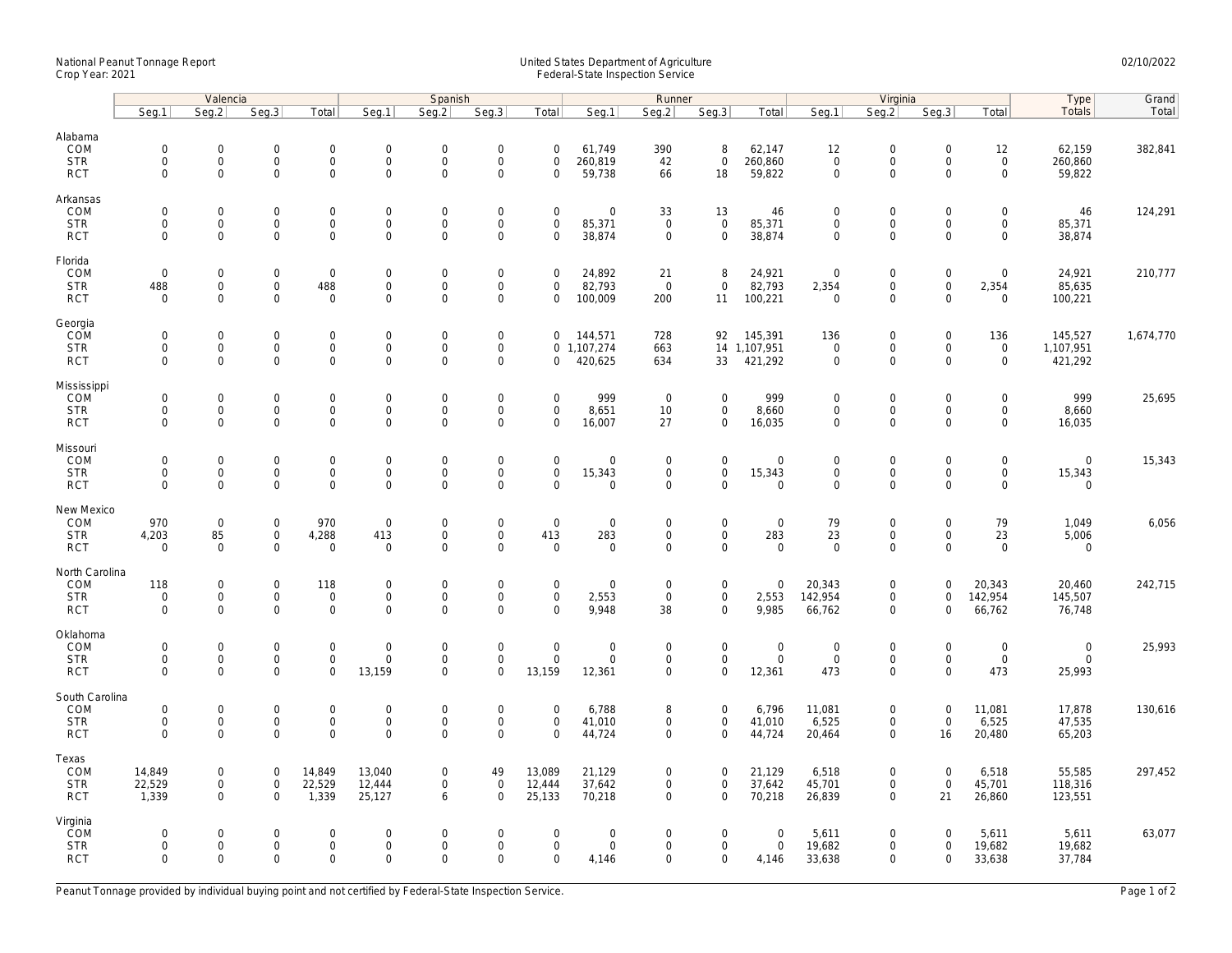## National Peanut Tonnage Report United States Department of Agriculture 02/10/2022 Crop Year: 2021 Federal-State Inspection Service

|                                                   | Valencia                                          |                                                   |                                                           |                                         |                                                                   | Spanish                                           |                                                        |                                                 | Runner                                      |                                                    |                                            |                                              | Virginia                                  |                                                        |                                                   |                                                   | Type                                    | Grand     |
|---------------------------------------------------|---------------------------------------------------|---------------------------------------------------|-----------------------------------------------------------|-----------------------------------------|-------------------------------------------------------------------|---------------------------------------------------|--------------------------------------------------------|-------------------------------------------------|---------------------------------------------|----------------------------------------------------|--------------------------------------------|----------------------------------------------|-------------------------------------------|--------------------------------------------------------|---------------------------------------------------|---------------------------------------------------|-----------------------------------------|-----------|
|                                                   | Seq.1                                             | Seq.2                                             | Seg.3                                                     | Total                                   | Seg.1                                                             | Seq.2                                             | Seg.3                                                  | Total                                           | Seg.1                                       | Seg.2                                              | Seg.3                                      | Total                                        | Seg.1                                     | Seq.2                                                  | Seg.3                                             | Total                                             | Totals                                  | Total     |
| Alabama<br>COM<br><b>STR</b><br><b>RCT</b>        | $\mathbf 0$<br>$\mathbf 0$<br>$\mathbf 0$         | $\mathsf{O}\xspace$<br>$\mathbf 0$<br>$\mathbf 0$ | $\mathbf 0$<br>$\mathbf 0$<br>$\mathbf 0$                 | 0<br>$\mathsf{O}\xspace$<br>$\mathbf 0$ | $\mathbf 0$<br>$\mathbf 0$<br>$\mathbf 0$                         | $\mathbf 0$<br>$\mathbf 0$<br>$\mathbf 0$         | $\boldsymbol{0}$<br>$\mathbf 0$<br>$\mathbf 0$         | $\mathbf 0$<br>$\mathbf 0$<br>$\mathbf 0$       | 61,749<br>260,819<br>59,738                 | 390<br>42<br>66                                    | 8<br>$\mathbf{0}$<br>18                    | 62,147<br>260,860<br>59,822                  | 12<br>$\mathbf{0}$<br>$\mathbf 0$         | $\boldsymbol{0}$<br>$\mathbf 0$<br>$\mathbf 0$         | $\mathsf{O}\xspace$<br>$\mathbf 0$<br>$\Omega$    | 12<br>$\mathsf{O}\xspace$<br>$\mathbf 0$          | 62,159<br>260,860<br>59,822             | 382,841   |
| Arkansas<br>COM<br><b>STR</b><br><b>RCT</b>       | $\mathbf 0$<br>$\mathsf{O}\xspace$<br>$\Omega$    | $\mathbf 0$<br>$\mathbf 0$<br>$\Omega$            | $\mathbf 0$<br>$\mathsf{O}\xspace$<br>$\mathbf 0$         | $\mathbf 0$<br>0<br>$\mathbf 0$         | $\mathbf 0$<br>$\mathbf 0$<br>$\mathbf 0$                         | $\mathbf 0$<br>$\mathbf 0$<br>$\mathbf 0$         | $\boldsymbol{0}$<br>$\mathbf 0$<br>$\mathbf 0$         | $\mathbf 0$<br>$\mathbf 0$<br>$\mathbf 0$       | $\mathbf 0$<br>85,371<br>38,874             | 33<br>$\overline{0}$<br>$\mathbf 0$                | 13<br>$\mathbf 0$<br>$\mathbf 0$           | 46<br>85,371<br>38,874                       | $\mathbf 0$<br>$\mathbf 0$<br>$\Omega$    | $\boldsymbol{0}$<br>$\mathbf 0$<br>$\mathbf 0$         | $\mathbf 0$<br>$\mathbf 0$<br>$\Omega$            | $\mathbf 0$<br>$\mathsf{O}\xspace$<br>$\mathbf 0$ | 46<br>85,371<br>38,874                  | 124,291   |
| Florida<br>COM<br><b>STR</b><br><b>RCT</b>        | $\mathbf 0$<br>488<br>$\mathbf 0$                 | 0<br>$\mathsf{O}\xspace$<br>$\mathbf 0$           | $\mathbf 0$<br>$\mathsf{O}\xspace$<br>$\mathbf 0$         | $\mathbf 0$<br>488<br>$\mathbf 0$       | $\mathbf 0$<br>$\mathsf{O}\xspace$<br>$\mathbf 0$                 | $\mathsf{O}\xspace$<br>$\mathbf 0$<br>$\mathbf 0$ | $\mathbf 0$<br>$\boldsymbol{0}$<br>$\mathbf 0$         | $\mathbf 0$<br>$\mathbf 0$<br>$\mathbf 0$       | 24,892<br>82,793<br>100,009                 | 21<br>$\overline{0}$<br>200                        | 8<br>$\mathbf 0$<br>11                     | 24,921<br>82,793<br>100,221                  | $\mathbf 0$<br>2,354<br>$\mathbf 0$       | $\mathbf 0$<br>$\boldsymbol{0}$<br>$\mathbf 0$         | $\mathsf{O}\xspace$<br>$\mathbf 0$<br>$\mathbf 0$ | $\mathsf 0$<br>2,354<br>$\mathbf 0$               | 24,921<br>85,635<br>100,221             | 210,777   |
| Georgia<br>COM<br><b>STR</b><br><b>RCT</b>        | $\mathsf{O}\xspace$<br>$\mathbf 0$<br>$\Omega$    | $\mathbf 0$<br>$\mathbf 0$<br>$\Omega$            | $\mathsf{O}\xspace$<br>$\mathbf 0$<br>$\Omega$            | 0<br>0<br>0                             | $\mathsf{O}\xspace$<br>$\mathsf{O}\xspace$<br>$\mathsf{O}\xspace$ | $\mathsf{O}\xspace$<br>$\mathbf 0$<br>$\mathbf 0$ | $\mathbf 0$<br>$\mathbf 0$<br>$\mathbf 0$              | $\mathbf 0$<br>$\mathbf 0$                      | 144,571<br>0 1,107,274<br>420,625           | 728<br>663<br>634                                  | 92<br>33                                   | 145,391<br>14 1,107,951<br>421,292           | 136<br>0<br>$\mathbf 0$                   | $\mathbf 0$<br>$\mathbf 0$<br>$\mathbf 0$              | $\mathsf{O}\xspace$<br>$\mathbf 0$<br>$\Omega$    | 136<br>$\mathsf{O}\xspace$<br>$\mathsf 0$         | 145,527<br>1,107,951<br>421,292         | 1,674,770 |
| Mississippi<br>COM<br><b>STR</b><br><b>RCT</b>    | $\mathsf{O}\xspace$<br>$\mathbf 0$<br>$\mathbf 0$ | $\Omega$<br>$\mathsf{O}\xspace$<br>$\mathbf 0$    | $\mathbf 0$<br>$\mathbf 0$<br>$\mathbf 0$                 | 0<br>$\mathsf{O}\xspace$<br>$\mathbf 0$ | $\mathbf 0$<br>$\mathsf{O}\xspace$<br>$\mathbf 0$                 | $\mathbf 0$<br>$\mathsf{O}\xspace$<br>$\mathbf 0$ | $\boldsymbol{0}$<br>$\mathbf 0$<br>$\mathbf{0}$        | $\Omega$<br>$\mathbf 0$<br>$\mathbf 0$          | 999<br>8,651<br>16,007                      | $\overline{0}$<br>10<br>27                         | 0<br>$\mathsf{O}\xspace$<br>$\mathbf 0$    | 999<br>8,660<br>16,035                       | $\mathbf 0$<br>$\mathbf 0$<br>$\mathbf 0$ | $\boldsymbol{0}$<br>$\mathbf 0$<br>$\mathbf{0}$        | $\mathsf{O}\xspace$<br>$\mathbf 0$<br>$\mathbf 0$ | $\Omega$<br>$\mathsf{O}\xspace$<br>$\mathbf 0$    | 999<br>8,660<br>16,035                  | 25,695    |
| Missouri<br>COM<br><b>STR</b><br><b>RCT</b>       | $\mathbf 0$<br>$\mathsf{O}\xspace$<br>$\mathbf 0$ | $\mathbf 0$<br>$\mathbf 0$<br>$\mathbf 0$         | $\mathbf 0$<br>$\mathsf{O}\xspace$<br>$\mathsf{O}\xspace$ | $\mathbf 0$<br>0<br>0                   | $\mathbf 0$<br>$\mathsf{O}\xspace$<br>$\mathbf 0$                 | $\mathbf 0$<br>$\mathsf 0$<br>$\mathbf 0$         | $\mathbf 0$<br>$\boldsymbol{0}$<br>$\mathbf 0$         | $\mathbf 0$<br>$\mathsf{O}\xspace$<br>$\Omega$  | $\Omega$<br>15,343<br>$\Omega$              | $\mathbf 0$<br>$\mathsf{O}\xspace$<br>$\mathbf 0$  | $\mathbf 0$<br>0<br>$\mathbf 0$            | $\mathbf 0$<br>15,343<br>$\mathsf{O}\xspace$ | $\mathbf 0$<br>$\mathbf 0$<br>$\mathbf 0$ | $\mathbf 0$<br>$\mathbf 0$<br>$\mathbf 0$              | $\mathbf 0$<br>$\mathbf 0$<br>$\mathbf 0$         | $\mathbf 0$<br>$\mathsf 0$<br>$\mathbf 0$         | $\overline{0}$<br>15,343<br>$\mathbf 0$ | 15,343    |
| New Mexico<br>COM<br><b>STR</b><br><b>RCT</b>     | 970<br>4,203<br>$\mathbf 0$                       | $\mathbf 0$<br>85<br>$\mathbf 0$                  | $\mathsf{O}\xspace$<br>$\mathbf 0$<br>$\mathsf{O}\xspace$ | 970<br>4,288<br>$\mathbf 0$             | $\mathbf 0$<br>413<br>$\overline{0}$                              | $\mathsf{O}\xspace$<br>$\mathbf 0$<br>$\mathbf 0$ | $\boldsymbol{0}$<br>$\mathsf{O}\xspace$<br>$\mathbf 0$ | $\mathbf 0$<br>413<br>$\mathbf 0$               | $\mathbf 0$<br>283<br>$\mathbf 0$           | $\mathsf{O}\xspace$<br>$\mathbf{0}$<br>$\mathbf 0$ | 0<br>0<br>$\mathsf{O}\xspace$              | $\mathbf 0$<br>283<br>$\mathbf 0$            | 79<br>23<br>$\mathbf 0$                   | $\mathbf 0$<br>$\mathbf 0$<br>$\mathbf 0$              | $\mathsf{O}\xspace$<br>$\mathbf 0$<br>$\mathbf 0$ | 79<br>23<br>$\mathsf 0$                           | 1,049<br>5,006<br>$\mathbf 0$           | 6,056     |
| North Carolina<br>COM<br><b>STR</b><br><b>RCT</b> | 118<br>$\mathbf 0$<br>$\mathbf 0$                 | $\mathbf 0$<br>$\mathsf{O}\xspace$<br>$\mathbf 0$ | $\mathbf 0$<br>$\mathbf 0$<br>$\mathbf 0$                 | 118<br>0<br>$\mathbf 0$                 | $\mathbf 0$<br>$\mathbf 0$<br>$\mathbf 0$                         | $\mathsf{O}\xspace$<br>$\mathbf 0$<br>$\mathbf 0$ | $\boldsymbol{0}$<br>$\mathbf 0$<br>$\mathbf 0$         | $\mathbf 0$<br>$\mathbf 0$<br>$\Omega$          | $\mathbf 0$<br>2,553<br>9,948               | $\overline{0}$<br>$\mathbf 0$<br>38                | 0<br>$\mathsf{O}\xspace$<br>$\overline{0}$ | $\mathbf 0$<br>2,553<br>9.985                | 20,343<br>142,954<br>66,762               | $\boldsymbol{0}$<br>$\mathsf{O}\xspace$<br>$\mathbf 0$ | $\mathbf 0$<br>$\Omega$<br>$\Omega$               | 20,343<br>142,954<br>66,762                       | 20,460<br>145,507<br>76,748             | 242,715   |
| Oklahoma<br>COM<br><b>STR</b><br><b>RCT</b>       | $\mathbf 0$<br>$\mathbf 0$<br>$\Omega$            | $\mathsf{O}\xspace$<br>$\mathbf 0$<br>$\mathbf 0$ | $\mathsf{O}\xspace$<br>$\mathsf{O}\xspace$<br>$\mathbf 0$ | 0<br>$\mathbf 0$<br>$\mathbf 0$         | $\boldsymbol{0}$<br>$\mathbf 0$<br>13,159                         | $\mathsf{O}\xspace$<br>$\mathbf 0$<br>$\mathbf 0$ | $\pmb{0}$<br>$\mathbf 0$<br>$\mathbf{0}$               | $\overline{0}$<br>$\mathsf{O}\xspace$<br>13,159 | $\mathbf 0$<br>$\mathsf 0$<br>12,361        | $\mathbf 0$<br>$\mathbf 0$<br>$\mathbf 0$          | 0<br>$\mathbf 0$<br>$\mathbf 0$            | $\mathbf 0$<br>$\mathbf 0$<br>12,361         | $\mathsf{O}\xspace$<br>$\mathbf 0$<br>473 | $\mathbf 0$<br>$\mathbf 0$<br>$\mathbf{0}$             | $\mathbf 0$<br>$\mathbf 0$<br>$\Omega$            | $\mathbf 0$<br>$\mathsf 0$<br>473                 | $\mathbf 0$<br>$\mathbf 0$<br>25,993    | 25,993    |
| South Carolina<br>COM<br><b>STR</b><br><b>RCT</b> | $\mathbf 0$<br>$\mathsf{O}\xspace$<br>$\mathbf 0$ | $\mathbf 0$<br>$\mathsf{O}\xspace$<br>$\Omega$    | $\mathsf{O}\xspace$<br>$\mathsf{O}\xspace$<br>$\mathbf 0$ | 0<br>0<br>$\mathbf 0$                   | $\mathbf 0$<br>$\mathsf 0$<br>$\mathbf 0$                         | $\mathsf{O}\xspace$<br>$\mathbf 0$<br>$\mathbf 0$ | $\boldsymbol{0}$<br>$\boldsymbol{0}$<br>$\mathbf 0$    | $\mathbf 0$<br>$\mathbf 0$<br>$\mathbf 0$       | 6,788<br>41,010<br>44,724                   | 8<br>$\mathbf 0$<br>$\mathbf 0$                    | $\mathbf 0$<br>$\mathsf{O}$<br>$\mathbf 0$ | 6,796<br>41,010<br>44,724                    | 11,081<br>6,525<br>20,464                 | $\mathbf 0$<br>$\boldsymbol{0}$<br>$\mathbf 0$         | $\mathbf 0$<br>$\mathsf 0$<br>16                  | 11,081<br>6,525<br>20,480                         | 17,878<br>47,535<br>65,203              | 130,616   |
| Texas<br>COM<br><b>STR</b><br><b>RCT</b>          | 14,849<br>22,529<br>1,339                         | 0<br>$\mathbf 0$<br>$\Omega$                      | $\mathbf 0$<br>$\mathsf{O}\xspace$<br>$\mathbf 0$         | 14,849<br>22,529<br>1,339               | 13,040<br>12,444<br>25,127                                        | $\mathbf 0$<br>$\mathbf 0$<br>6                   | 49<br>$\mathbf 0$<br>$\mathbf 0$                       | 13,089<br>12,444<br>25,133                      | 21,129<br>37,642<br>70,218                  | $\mathbf 0$<br>$\mathsf{O}\xspace$<br>$\Omega$     | 0<br>0<br>$\Omega$                         | 21,129<br>37,642<br>70,218                   | 6,518<br>45,701<br>26,839                 | $\mathbf 0$<br>$\mathbf 0$<br>$\mathbf 0$              | $\mathbf 0$<br>$\mathbf 0$<br>21                  | 6,518<br>45,701<br>26,860                         | 55,585<br>118,316<br>123,551            | 297,452   |
| Virginia<br>COM<br><b>STR</b><br><b>RCT</b>       | $\mathbf 0$<br>$\mathbf 0$<br>$\mathbf 0$         | $\mathbf 0$<br>$\mathbf 0$<br>$\Omega$            | $\mathbf 0$<br>$\mathsf{O}\xspace$<br>$\Omega$            | 0<br>$\mathsf{O}\xspace$<br>$\mathbf 0$ | $\mathbf 0$<br>$\mathsf{O}\xspace$<br>$\mathbf 0$                 | $\mathbf 0$<br>$\mathbf 0$<br>$\mathbf 0$         | $\mathbf 0$<br>$\boldsymbol{0}$<br>$\mathbf{0}$        | $\Omega$<br>$\mathbf 0$<br>$\mathbf 0$          | $\mathbf 0$<br>$\mathsf{O}\xspace$<br>4,146 | $\mathbf 0$<br>$\mathbf 0$<br>$\Omega$             | 0<br>0<br>$\mathbf 0$                      | $\mathbf 0$<br>$\mathsf 0$<br>4,146          | 5,611<br>19,682<br>33,638                 | $\mathbf 0$<br>$\mathbf 0$<br>$\mathbf 0$              | $\Omega$<br>$\mathbf 0$<br>$\mathbf 0$            | 5,611<br>19,682<br>33,638                         | 5,611<br>19,682<br>37,784               | 63,077    |

Peanut Tonnage provided by individual buying point and not certified by Federal-State Inspection Service. Page 1 of 2